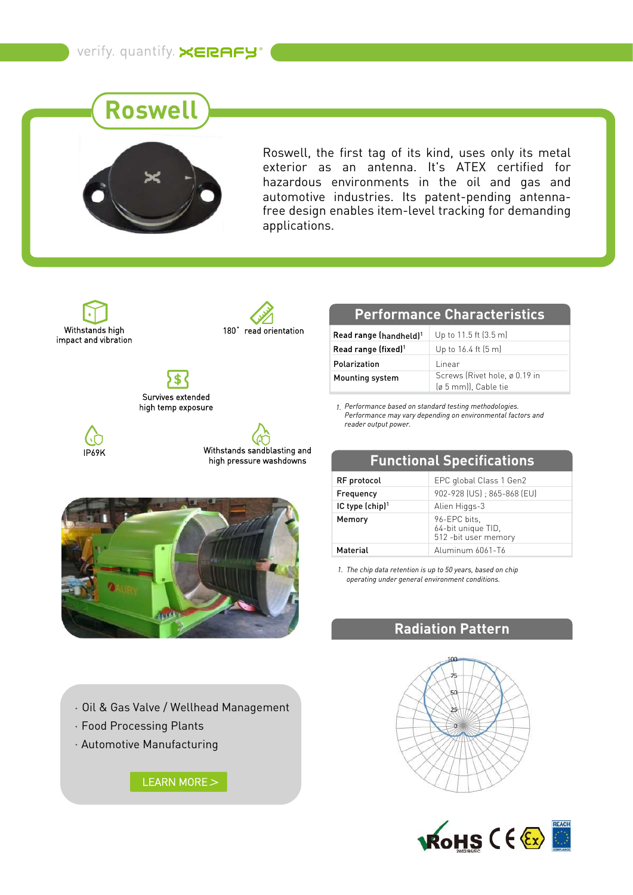# **Roswell**



Roswell, the first tag of its kind, uses only its metal exterior as an antenna. It's ATEX certified for hazardous environments in the oil and gas and automotive industries. Its patent-pending antennafree design enables item-level tracking for demanding applications.

Withstands high impact and vibration



\$ Survives extended high temp exposure

IP69K





Oil & Gas Valve / Wellhead Management

- Food Processing Plants
- Automotive Manufacturing

[LEARN MORE](https://www.xerafy.com/post/how-aury-africa-brings-iot-driven-safety-and-compliance-to-mining) >

## **Performance Characteristics**

| Read range (handheld) <sup>1</sup> | Up to 11.5 ft (3.5 m)                                 |
|------------------------------------|-------------------------------------------------------|
| Read range (fixed) <sup>1</sup>    | Up to $16.4$ ft $(5 \text{ m})$                       |
| Polarization                       | Linear                                                |
| Mounting system                    | Screws (Rivet hole, ø 0.19 in<br>(ø 5 mm)), Cable tie |

*Performance based on standard testing methodologies. 1. Performance may vary depending on environmental factors and reader output power.*

| <b>FUILCIPLE SPECIFICATIONS</b> |                                                             |
|---------------------------------|-------------------------------------------------------------|
| RF protocol                     | EPC global Class 1 Gen2                                     |
| Frequency                       | 902-928 (US) : 865-868 (EU)                                 |
| IC type (chip) <sup>1</sup>     | Alien Higgs-3                                               |
| Memory                          | 96-EPC bits,<br>64-bit unique TID,<br>512 - bit user memory |
| Material                        | Aluminum 6061-T6                                            |

*The chip data retention is up to 50 years, based on chip 1. operating under general environment conditions.*

### **Radiation Pattern**